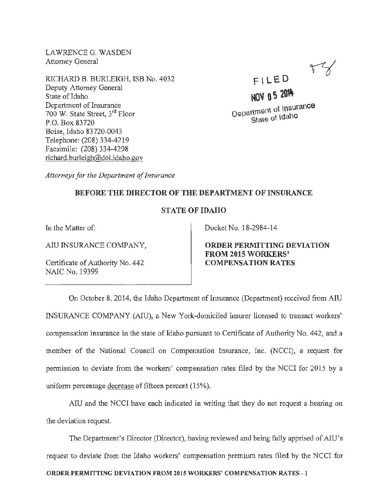LAWRENCEG. WASDEN Attorney General

RICHARD B. BURLEIGH, ISB No. 4032 Deputy Attorney General State of Idaho Department of Insurance 700 W. State Street, 3<sup>rd</sup> Floor P.O. Box 83720 Boise, Idaho 83720-0043 Telephone: (208) 334-4219 Facsimile: (208) 334-4298 richard.burleigh@doi.idaho.gov

NOV 05 2014 Department of Insurance State of Idaho

 $F$   $LED$ 

*Attorneys for the Department of Insurance* 

## BEFORE THE DIRECTOR OF THE DEPARTMENT OF INSURANCE

## STATE OF IDAHO

In the Matter of:

AIU INSURANCE COMPANY,

Certificate of Authority No. 442 NAIC No. 19399

Docket No. 18-2984-14

ORDER PERMITTING DEVIATION FROM 2015 WORKERS' COMPENSATION RATES

On October 8, 2014, the Idaho Department of Insurance (Department) received from AIU INSURANCE COMPANY (Aill), a New York-domiciled insurer licensed to transact workers' compensation insurance in the state of Idaho pursuant to Certificate of Authority No. 442, and a member of the National Council on Compensation Insurance, Inc. (NCCI), a request for permission to deviate from the workers' compensation rates filed by the NCCI for 2015 by a uniform percentage decrease of fifteen percent (15%).

AIU and the NCCI have each indicated in writing that they do not request a hearing on the deviation request.

The Department's Director (Director), having reviewed and being fully apprised of AIU's request to deviate from the Idaho workers' compensation premium rates filed by the NCCI for ORDER PERMITTING DEVIATION FROM 2015 WORKERS' COMPENSATION RATES -1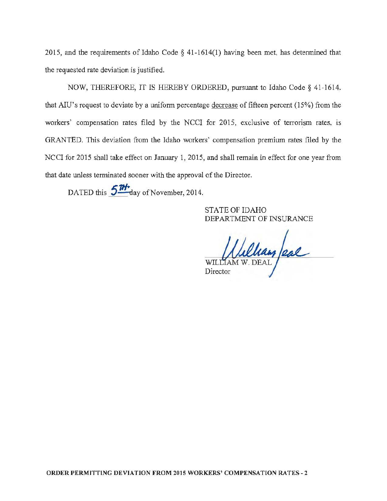2015, and the requirements of Idaho Code § 41-1614(1) having been met, has determined that the requested rate deviation is justified.

NOW, THEREFORE, IT IS HEREBY ORDERED, pursuant to Idaho Code§ 41-1614. that AIU's request to deviate by a uniform percentage decrease of fifteen percent (15%) from the workers' compensation rates filed by the NCCI for 2015, exclusive of terrorism rates, is GRANTED. This deviation from the Idaho workers' compensation premium rates filed by the NCCI for 2015 shall take effect on January 1, 2015, and shall remain in effect for one year from that date unless terminated sooner with the approval of the Director.

DATED this  $511$  day of November, 2014.

STATE OF IDAHO DEPARTMENT OF INSURANCE

Ullian Jeal **WILLIAM** Director